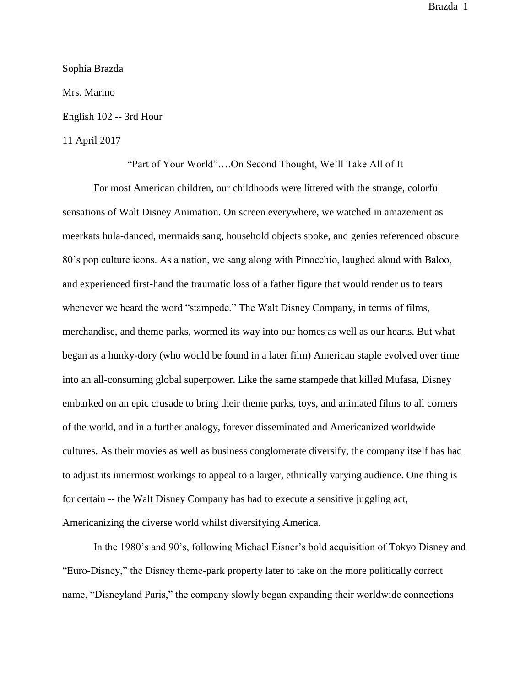Sophia Brazda

Mrs. Marino

English 102 -- 3rd Hour

## 11 April 2017

"Part of Your World"….On Second Thought, We'll Take All of It

For most American children, our childhoods were littered with the strange, colorful sensations of Walt Disney Animation. On screen everywhere, we watched in amazement as meerkats hula-danced, mermaids sang, household objects spoke, and genies referenced obscure 80's pop culture icons. As a nation, we sang along with Pinocchio, laughed aloud with Baloo, and experienced first-hand the traumatic loss of a father figure that would render us to tears whenever we heard the word "stampede." The Walt Disney Company, in terms of films, merchandise, and theme parks, wormed its way into our homes as well as our hearts. But what began as a hunky-dory (who would be found in a later film) American staple evolved over time into an all-consuming global superpower. Like the same stampede that killed Mufasa, Disney embarked on an epic crusade to bring their theme parks, toys, and animated films to all corners of the world, and in a further analogy, forever disseminated and Americanized worldwide cultures. As their movies as well as business conglomerate diversify, the company itself has had to adjust its innermost workings to appeal to a larger, ethnically varying audience. One thing is for certain -- the Walt Disney Company has had to execute a sensitive juggling act, Americanizing the diverse world whilst diversifying America.

In the 1980's and 90's, following Michael Eisner's bold acquisition of Tokyo Disney and "Euro-Disney," the Disney theme-park property later to take on the more politically correct name, "Disneyland Paris," the company slowly began expanding their worldwide connections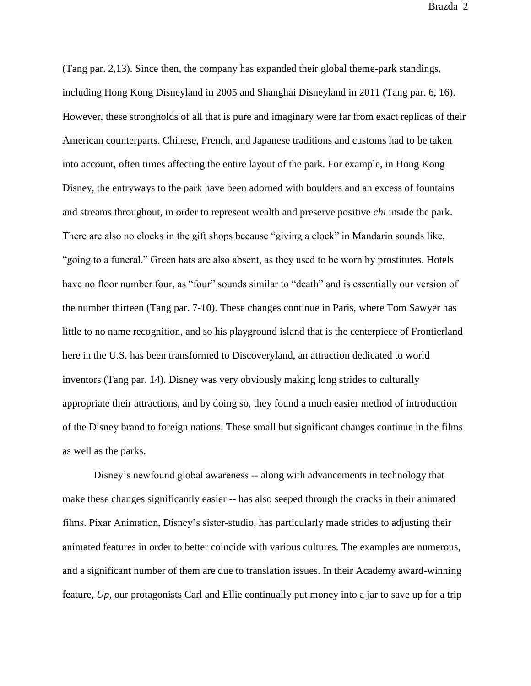(Tang par. 2,13). Since then, the company has expanded their global theme-park standings, including Hong Kong Disneyland in 2005 and Shanghai Disneyland in 2011 (Tang par. 6, 16). However, these strongholds of all that is pure and imaginary were far from exact replicas of their American counterparts. Chinese, French, and Japanese traditions and customs had to be taken into account, often times affecting the entire layout of the park. For example, in Hong Kong Disney, the entryways to the park have been adorned with boulders and an excess of fountains and streams throughout, in order to represent wealth and preserve positive *chi* inside the park. There are also no clocks in the gift shops because "giving a clock" in Mandarin sounds like, "going to a funeral." Green hats are also absent, as they used to be worn by prostitutes. Hotels have no floor number four, as "four" sounds similar to "death" and is essentially our version of the number thirteen (Tang par. 7-10). These changes continue in Paris, where Tom Sawyer has little to no name recognition, and so his playground island that is the centerpiece of Frontierland here in the U.S. has been transformed to Discoveryland, an attraction dedicated to world inventors (Tang par. 14). Disney was very obviously making long strides to culturally appropriate their attractions, and by doing so, they found a much easier method of introduction of the Disney brand to foreign nations. These small but significant changes continue in the films as well as the parks.

Disney's newfound global awareness -- along with advancements in technology that make these changes significantly easier -- has also seeped through the cracks in their animated films. Pixar Animation, Disney's sister-studio, has particularly made strides to adjusting their animated features in order to better coincide with various cultures. The examples are numerous, and a significant number of them are due to translation issues. In their Academy award-winning feature, *Up,* our protagonists Carl and Ellie continually put money into a jar to save up for a trip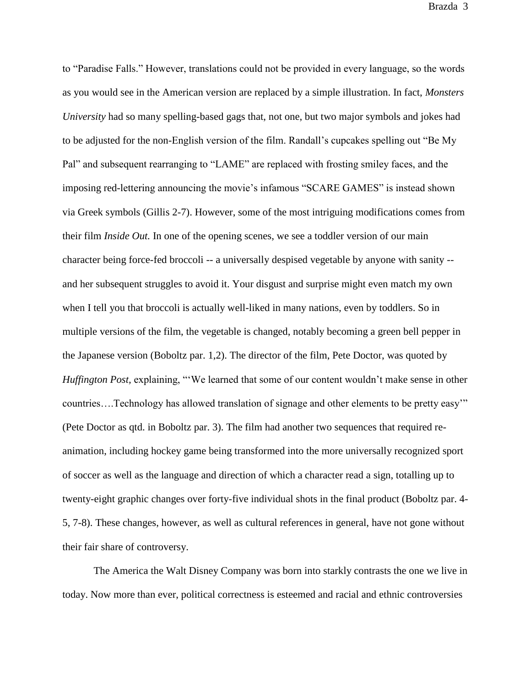to "Paradise Falls." However, translations could not be provided in every language, so the words as you would see in the American version are replaced by a simple illustration. In fact, *Monsters University* had so many spelling-based gags that, not one, but two major symbols and jokes had to be adjusted for the non-English version of the film. Randall's cupcakes spelling out "Be My Pal" and subsequent rearranging to "LAME" are replaced with frosting smiley faces, and the imposing red-lettering announcing the movie's infamous "SCARE GAMES" is instead shown via Greek symbols (Gillis 2-7). However, some of the most intriguing modifications comes from their film *Inside Out.* In one of the opening scenes, we see a toddler version of our main character being force-fed broccoli -- a universally despised vegetable by anyone with sanity - and her subsequent struggles to avoid it. Your disgust and surprise might even match my own when I tell you that broccoli is actually well-liked in many nations, even by toddlers. So in multiple versions of the film, the vegetable is changed, notably becoming a green bell pepper in the Japanese version (Boboltz par. 1,2). The director of the film, Pete Doctor, was quoted by *Huffington Post,* explaining, "We learned that some of our content wouldn't make sense in other countries….Technology has allowed translation of signage and other elements to be pretty easy'" (Pete Doctor as qtd. in Boboltz par. 3). The film had another two sequences that required reanimation, including hockey game being transformed into the more universally recognized sport of soccer as well as the language and direction of which a character read a sign, totalling up to twenty-eight graphic changes over forty-five individual shots in the final product (Boboltz par. 4- 5, 7-8). These changes, however, as well as cultural references in general, have not gone without their fair share of controversy.

The America the Walt Disney Company was born into starkly contrasts the one we live in today. Now more than ever, political correctness is esteemed and racial and ethnic controversies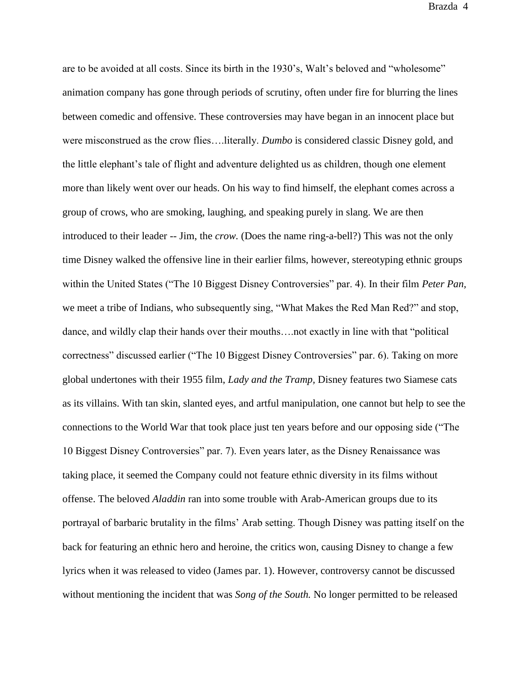are to be avoided at all costs. Since its birth in the 1930's, Walt's beloved and "wholesome" animation company has gone through periods of scrutiny, often under fire for blurring the lines between comedic and offensive. These controversies may have began in an innocent place but were misconstrued as the crow flies….literally. *Dumbo* is considered classic Disney gold, and the little elephant's tale of flight and adventure delighted us as children, though one element more than likely went over our heads. On his way to find himself, the elephant comes across a group of crows, who are smoking, laughing, and speaking purely in slang. We are then introduced to their leader -- Jim, the *crow.* (Does the name ring-a-bell?) This was not the only time Disney walked the offensive line in their earlier films, however, stereotyping ethnic groups within the United States ("The 10 Biggest Disney Controversies" par. 4). In their film *Peter Pan,*  we meet a tribe of Indians, who subsequently sing, "What Makes the Red Man Red?" and stop, dance, and wildly clap their hands over their mouths….not exactly in line with that "political correctness" discussed earlier ("The 10 Biggest Disney Controversies" par. 6). Taking on more global undertones with their 1955 film, *Lady and the Tramp,* Disney features two Siamese cats as its villains. With tan skin, slanted eyes, and artful manipulation, one cannot but help to see the connections to the World War that took place just ten years before and our opposing side ("The 10 Biggest Disney Controversies" par. 7). Even years later, as the Disney Renaissance was taking place, it seemed the Company could not feature ethnic diversity in its films without offense. The beloved *Aladdin* ran into some trouble with Arab-American groups due to its portrayal of barbaric brutality in the films' Arab setting. Though Disney was patting itself on the back for featuring an ethnic hero and heroine, the critics won, causing Disney to change a few lyrics when it was released to video (James par. 1). However, controversy cannot be discussed without mentioning the incident that was *Song of the South.* No longer permitted to be released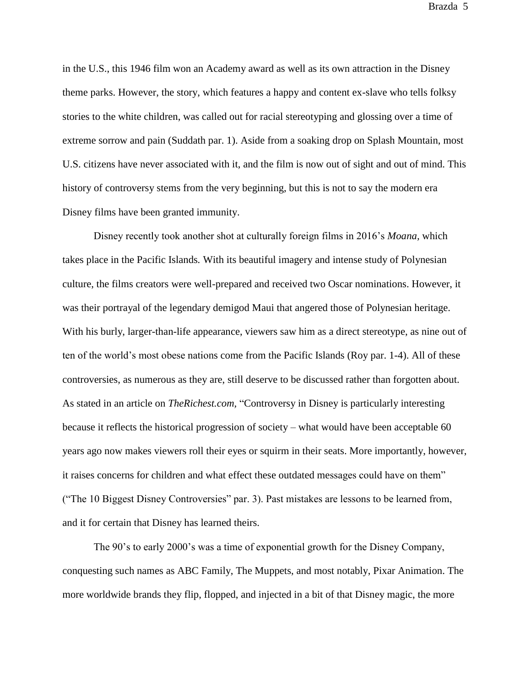in the U.S., this 1946 film won an Academy award as well as its own attraction in the Disney theme parks. However, the story, which features a happy and content ex-slave who tells folksy stories to the white children, was called out for racial stereotyping and glossing over a time of extreme sorrow and pain (Suddath par. 1). Aside from a soaking drop on Splash Mountain, most U.S. citizens have never associated with it, and the film is now out of sight and out of mind. This history of controversy stems from the very beginning, but this is not to say the modern era Disney films have been granted immunity.

Disney recently took another shot at culturally foreign films in 2016's *Moana,* which takes place in the Pacific Islands*.* With its beautiful imagery and intense study of Polynesian culture, the films creators were well-prepared and received two Oscar nominations. However, it was their portrayal of the legendary demigod Maui that angered those of Polynesian heritage. With his burly, larger-than-life appearance, viewers saw him as a direct stereotype, as nine out of ten of the world's most obese nations come from the Pacific Islands (Roy par. 1-4). All of these controversies, as numerous as they are, still deserve to be discussed rather than forgotten about. As stated in an article on *TheRichest.com,* "Controversy in Disney is particularly interesting because it reflects the historical progression of society – what would have been acceptable 60 years ago now makes viewers roll their eyes or squirm in their seats. More importantly, however, it raises concerns for children and what effect these outdated messages could have on them" ("The 10 Biggest Disney Controversies" par. 3). Past mistakes are lessons to be learned from, and it for certain that Disney has learned theirs.

The 90's to early 2000's was a time of exponential growth for the Disney Company, conquesting such names as ABC Family, The Muppets, and most notably, Pixar Animation. The more worldwide brands they flip, flopped, and injected in a bit of that Disney magic, the more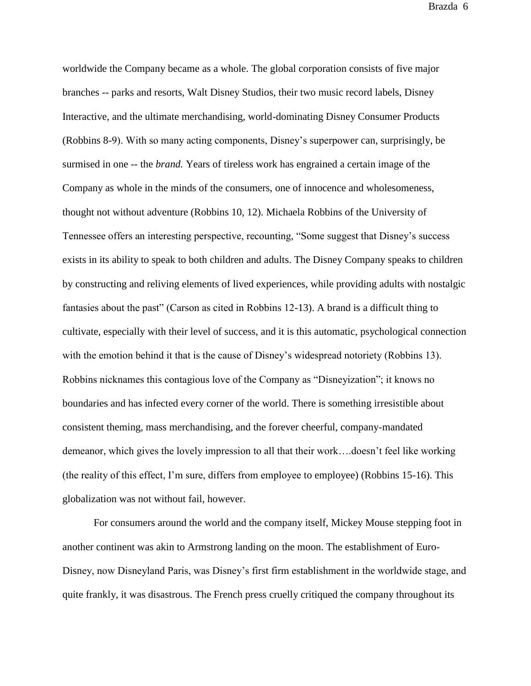worldwide the Company became as a whole. The global corporation consists of five major branches -- parks and resorts, Walt Disney Studios, their two music record labels, Disney Interactive, and the ultimate merchandising, world-dominating Disney Consumer Products (Robbins 8-9). With so many acting components, Disney's superpower can, surprisingly, be surmised in one -- the *brand.* Years of tireless work has engrained a certain image of the Company as whole in the minds of the consumers, one of innocence and wholesomeness, thought not without adventure (Robbins 10, 12). Michaela Robbins of the University of Tennessee offers an interesting perspective, recounting, "Some suggest that Disney's success exists in its ability to speak to both children and adults. The Disney Company speaks to children by constructing and reliving elements of lived experiences, while providing adults with nostalgic fantasies about the past" (Carson as cited in Robbins 12-13). A brand is a difficult thing to cultivate, especially with their level of success, and it is this automatic, psychological connection with the emotion behind it that is the cause of Disney's widespread notoriety (Robbins 13). Robbins nicknames this contagious love of the Company as "Disneyization"; it knows no boundaries and has infected every corner of the world. There is something irresistible about consistent theming, mass merchandising, and the forever cheerful, company-mandated demeanor, which gives the lovely impression to all that their work….doesn't feel like working (the reality of this effect, I'm sure, differs from employee to employee) (Robbins 15-16). This globalization was not without fail, however.

For consumers around the world and the company itself, Mickey Mouse stepping foot in another continent was akin to Armstrong landing on the moon. The establishment of Euro-Disney, now Disneyland Paris, was Disney's first firm establishment in the worldwide stage, and quite frankly, it was disastrous. The French press cruelly critiqued the company throughout its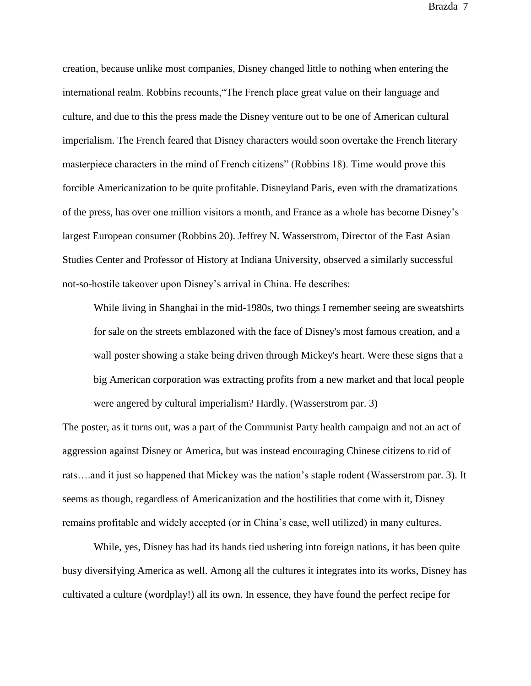creation, because unlike most companies, Disney changed little to nothing when entering the international realm. Robbins recounts,"The French place great value on their language and culture, and due to this the press made the Disney venture out to be one of American cultural imperialism. The French feared that Disney characters would soon overtake the French literary masterpiece characters in the mind of French citizens" (Robbins 18). Time would prove this forcible Americanization to be quite profitable. Disneyland Paris, even with the dramatizations of the press, has over one million visitors a month, and France as a whole has become Disney's largest European consumer (Robbins 20). Jeffrey N. Wasserstrom, Director of the East Asian Studies Center and Professor of History at Indiana University, observed a similarly successful not-so-hostile takeover upon Disney's arrival in China. He describes:

While living in Shanghai in the mid-1980s, two things I remember seeing are sweatshirts for sale on the streets emblazoned with the face of Disney's most famous creation, and a wall poster showing a stake being driven through Mickey's heart. Were these signs that a big American corporation was extracting profits from a new market and that local people were angered by cultural imperialism? Hardly. (Wasserstrom par. 3)

The poster, as it turns out, was a part of the Communist Party health campaign and not an act of aggression against Disney or America, but was instead encouraging Chinese citizens to rid of rats….and it just so happened that Mickey was the nation's staple rodent (Wasserstrom par. 3). It seems as though, regardless of Americanization and the hostilities that come with it, Disney remains profitable and widely accepted (or in China's case, well utilized) in many cultures.

While, yes, Disney has had its hands tied ushering into foreign nations, it has been quite busy diversifying America as well. Among all the cultures it integrates into its works, Disney has cultivated a culture (wordplay!) all its own. In essence, they have found the perfect recipe for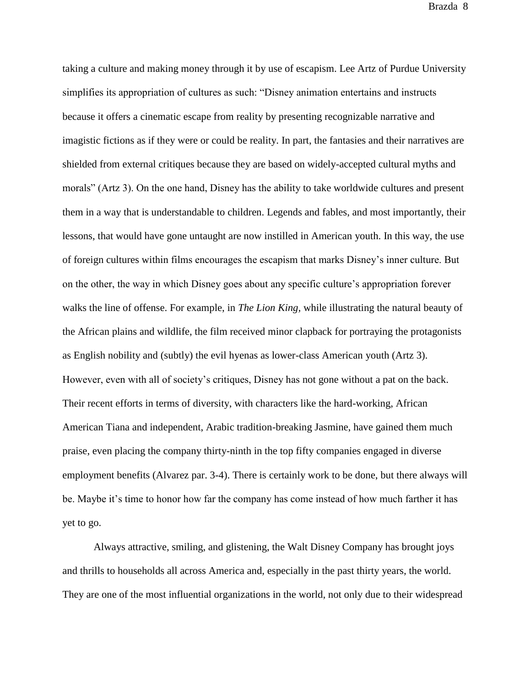taking a culture and making money through it by use of escapism. Lee Artz of Purdue University simplifies its appropriation of cultures as such: "Disney animation entertains and instructs because it offers a cinematic escape from reality by presenting recognizable narrative and imagistic fictions as if they were or could be reality. In part, the fantasies and their narratives are shielded from external critiques because they are based on widely-accepted cultural myths and morals" (Artz 3). On the one hand, Disney has the ability to take worldwide cultures and present them in a way that is understandable to children. Legends and fables, and most importantly, their lessons, that would have gone untaught are now instilled in American youth. In this way, the use of foreign cultures within films encourages the escapism that marks Disney's inner culture. But on the other, the way in which Disney goes about any specific culture's appropriation forever walks the line of offense. For example, in *The Lion King,* while illustrating the natural beauty of the African plains and wildlife, the film received minor clapback for portraying the protagonists as English nobility and (subtly) the evil hyenas as lower-class American youth (Artz 3). However, even with all of society's critiques, Disney has not gone without a pat on the back. Their recent efforts in terms of diversity, with characters like the hard-working, African American Tiana and independent, Arabic tradition-breaking Jasmine, have gained them much praise, even placing the company thirty-ninth in the top fifty companies engaged in diverse employment benefits (Alvarez par. 3-4). There is certainly work to be done, but there always will be. Maybe it's time to honor how far the company has come instead of how much farther it has yet to go.

Always attractive, smiling, and glistening, the Walt Disney Company has brought joys and thrills to households all across America and, especially in the past thirty years, the world. They are one of the most influential organizations in the world, not only due to their widespread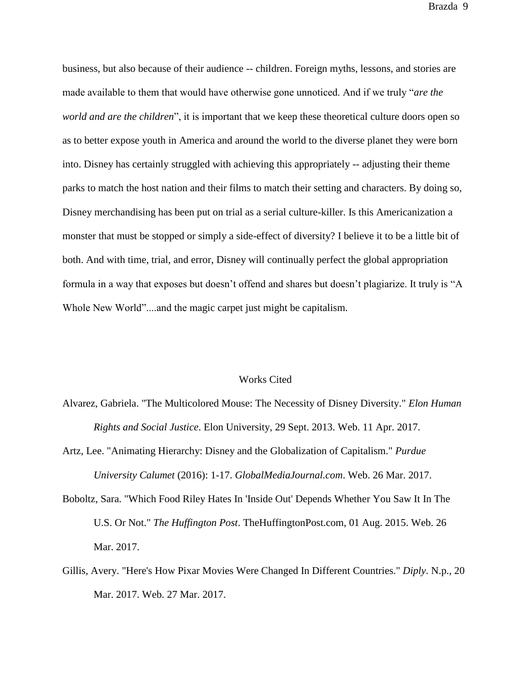business, but also because of their audience -- children. Foreign myths, lessons, and stories are made available to them that would have otherwise gone unnoticed. And if we truly "*are the world and are the children*", it is important that we keep these theoretical culture doors open so as to better expose youth in America and around the world to the diverse planet they were born into. Disney has certainly struggled with achieving this appropriately -- adjusting their theme parks to match the host nation and their films to match their setting and characters. By doing so, Disney merchandising has been put on trial as a serial culture-killer. Is this Americanization a monster that must be stopped or simply a side-effect of diversity? I believe it to be a little bit of both. And with time, trial, and error, Disney will continually perfect the global appropriation formula in a way that exposes but doesn't offend and shares but doesn't plagiarize. It truly is "A Whole New World"....and the magic carpet just might be capitalism.

## Works Cited

- Alvarez, Gabriela. "The Multicolored Mouse: The Necessity of Disney Diversity." *Elon Human Rights and Social Justice*. Elon University, 29 Sept. 2013. Web. 11 Apr. 2017.
- Artz, Lee. "Animating Hierarchy: Disney and the Globalization of Capitalism." *Purdue University Calumet* (2016): 1-17. *GlobalMediaJournal.com*. Web. 26 Mar. 2017.
- Boboltz, Sara. "Which Food Riley Hates In 'Inside Out' Depends Whether You Saw It In The U.S. Or Not." *The Huffington Post*. TheHuffingtonPost.com, 01 Aug. 2015. Web. 26 Mar. 2017.
- Gillis, Avery. "Here's How Pixar Movies Were Changed In Different Countries." *Diply*. N.p., 20 Mar. 2017. Web. 27 Mar. 2017.